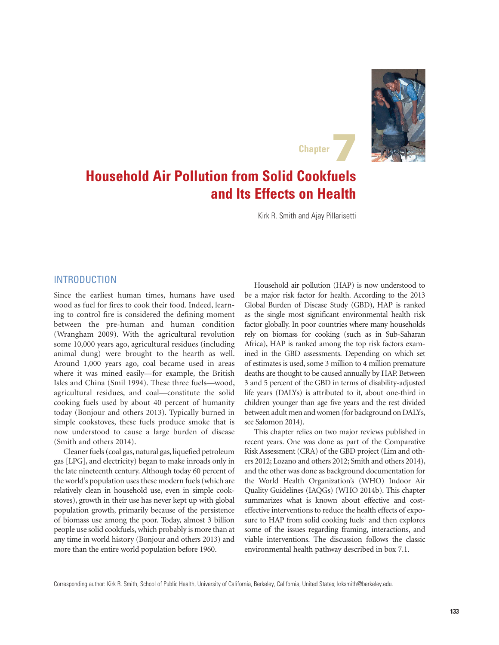# **Chapter 7**

# **Household Air Pollution from Solid Cookfuels and Its Effects on Health**

Kirk R. Smith and Ajay Pillarisetti

# INTRODUCTION

Since the earliest human times, humans have used wood as fuel for fires to cook their food. Indeed, learning to control fire is considered the defining moment between the pre-human and human condition (Wrangham 2009). With the agricultural revolution some 10,000 years ago, agricultural residues (including animal dung) were brought to the hearth as well. Around 1,000 years ago, coal became used in areas where it was mined easily—for example, the British Isles and China (Smil 1994). These three fuels—wood, agricultural residues, and coal—constitute the solid cooking fuels used by about 40 percent of humanity today (Bonjour and others 2013). Typically burned in simple cookstoves, these fuels produce smoke that is now understood to cause a large burden of disease (Smith and others 2014).

Cleaner fuels (coal gas, natural gas, liquefied petroleum gas [LPG], and electricity) began to make inroads only in the late nineteenth century. Although today 60 percent of the world's population uses these modern fuels (which are relatively clean in household use, even in simple cookstoves), growth in their use has never kept up with global population growth, primarily because of the persistence of biomass use among the poor. Today, almost 3 billion people use solid cookfuels, which probably is more than at any time in world history (Bonjour and others 2013) and more than the entire world population before 1960.

Household air pollution (HAP) is now understood to be a major risk factor for health. According to the 2013 Global Burden of Disease Study (GBD), HAP is ranked as the single most significant environmental health risk factor globally. In poor countries where many households rely on biomass for cooking (such as in Sub-Saharan Africa), HAP is ranked among the top risk factors examined in the GBD assessments. Depending on which set of estimates is used, some 3 million to 4 million premature deaths are thought to be caused annually by HAP. Between 3 and 5 percent of the GBD in terms of disability-adjusted life years (DALYs) is attributed to it, about one-third in children younger than age five years and the rest divided between adult men and women (for background on DALYs, see Salomon 2014).

This chapter relies on two major reviews published in recent years. One was done as part of the Comparative Risk Assessment (CRA) of the GBD project (Lim and others 2012; Lozano and others 2012; Smith and others 2014), and the other was done as background documentation for the World Health Organization's (WHO) Indoor Air Quality Guidelines (IAQGs) (WHO 2014b). This chapter summarizes what is known about effective and costeffective interventions to reduce the health effects of exposure to HAP from solid cooking fuels<sup>1</sup> and then explores some of the issues regarding framing, interactions, and viable interventions. The discussion follows the classic environmental health pathway described in box 7.1.

Corresponding author: Kirk R. Smith, School of Public Health, University of California, Berkeley, California, United States; krksmith@berkeley.edu.

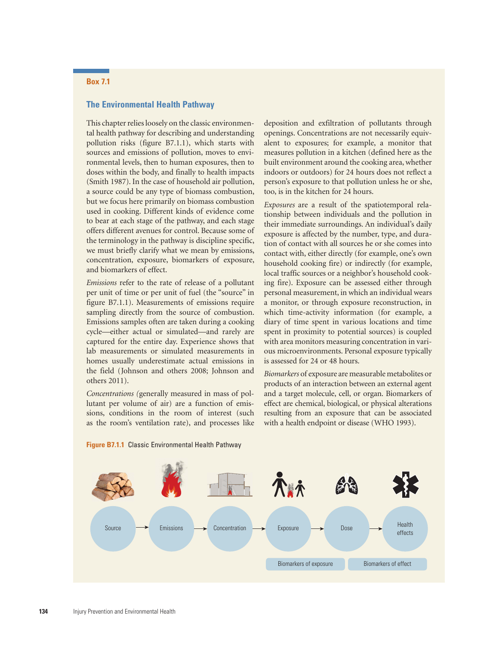# **Box 7.1**

### **The Environmental Health Pathway**

This chapter relies loosely on the classic environmental health pathway for describing and understanding pollution risks (figure B7.1.1), which starts with sources and emissions of pollution, moves to environmental levels, then to human exposures, then to doses within the body, and finally to health impacts (Smith 1987). In the case of household air pollution, a source could be any type of biomass combustion, but we focus here primarily on biomass combustion used in cooking. Different kinds of evidence come to bear at each stage of the pathway, and each stage offers different avenues for control. Because some of the terminology in the pathway is discipline specific, we must briefly clarify what we mean by emissions, concentration, exposure, biomarkers of exposure, and biomarkers of effect.

*Emissions* refer to the rate of release of a pollutant per unit of time or per unit of fuel (the "source" in figure B7.1.1). Measurements of emissions require sampling directly from the source of combustion. Emissions samples often are taken during a cooking cycle—either actual or simulated—and rarely are captured for the entire day. Experience shows that lab measurements or simulated measurements in homes usually underestimate actual emissions in the field (Johnson and others 2008; Johnson and others 2011).

*Concentrations (*generally measured in mass of pollutant per volume of air) are a function of emissions, conditions in the room of interest (such as the room's ventilation rate), and processes like deposition and exfiltration of pollutants through openings. Concentrations are not necessarily equivalent to exposures; for example, a monitor that measures pollution in a kitchen (defined here as the built environment around the cooking area, whether indoors or outdoors) for 24 hours does not reflect a person's exposure to that pollution unless he or she, too, is in the kitchen for 24 hours.

*Exposures* are a result of the spatiotemporal relationship between individuals and the pollution in their immediate surroundings. An individual's daily exposure is affected by the number, type, and duration of contact with all sources he or she comes into contact with, either directly (for example, one's own household cooking fire) or indirectly (for example, local traffic sources or a neighbor's household cooking fire). Exposure can be assessed either through personal measurement, in which an individual wears a monitor, or through exposure reconstruction, in which time-activity information (for example, a diary of time spent in various locations and time spent in proximity to potential sources) is coupled with area monitors measuring concentration in various microenvironments. Personal exposure typically is assessed for 24 or 48 hours.

*Biomarkers* of exposure are measurable metabolites or products of an interaction between an external agent and a target molecule, cell, or organ. Biomarkers of effect are chemical, biological, or physical alterations resulting from an exposure that can be associated with a health endpoint or disease (WHO 1993).



#### **Figure B7.1.1** Classic Environmental Health Pathway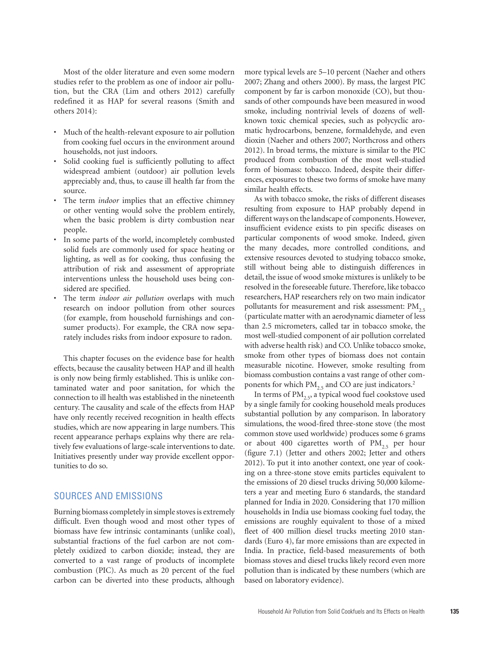Most of the older literature and even some modern studies refer to the problem as one of indoor air pollution, but the CRA (Lim and others 2012) carefully redefined it as HAP for several reasons (Smith and others 2014):

- Much of the health-relevant exposure to air pollution from cooking fuel occurs in the environment around households, not just indoors.
- Solid cooking fuel is sufficiently polluting to affect widespread ambient (outdoor) air pollution levels appreciably and, thus, to cause ill health far from the source.
- The term *indoor* implies that an effective chimney or other venting would solve the problem entirely, when the basic problem is dirty combustion near people.
- In some parts of the world, incompletely combusted solid fuels are commonly used for space heating or lighting, as well as for cooking, thus confusing the attribution of risk and assessment of appropriate interventions unless the household uses being considered are specified.
- The term *indoor air pollution* overlaps with much research on indoor pollution from other sources (for example, from household furnishings and consumer products). For example, the CRA now separately includes risks from indoor exposure to radon.

This chapter focuses on the evidence base for health effects, because the causality between HAP and ill health is only now being firmly established. This is unlike contaminated water and poor sanitation, for which the connection to ill health was established in the nineteenth century. The causality and scale of the effects from HAP have only recently received recognition in health effects studies, which are now appearing in large numbers. This recent appearance perhaps explains why there are relatively few evaluations of large-scale interventions to date. Initiatives presently under way provide excellent opportunities to do so.

# SOURCES AND EMISSIONS

Burning biomass completely in simple stoves is extremely difficult. Even though wood and most other types of biomass have few intrinsic contaminants (unlike coal), substantial fractions of the fuel carbon are not completely oxidized to carbon dioxide; instead, they are converted to a vast range of products of incomplete combustion (PIC). As much as 20 percent of the fuel carbon can be diverted into these products, although

more typical levels are 5–10 percent (Naeher and others 2007; Zhang and others 2000). By mass, the largest PIC component by far is carbon monoxide (CO), but thousands of other compounds have been measured in wood smoke, including nontrivial levels of dozens of wellknown toxic chemical species, such as polycyclic aromatic hydrocarbons, benzene, formaldehyde, and even dioxin (Naeher and others 2007; Northcross and others 2012). In broad terms, the mixture is similar to the PIC produced from combustion of the most well-studied form of biomass: tobacco. Indeed, despite their differences, exposures to these two forms of smoke have many similar health effects.

As with tobacco smoke, the risks of different diseases resulting from exposure to HAP probably depend in different ways on the landscape of components. However, insufficient evidence exists to pin specific diseases on particular components of wood smoke. Indeed, given the many decades, more controlled conditions, and extensive resources devoted to studying tobacco smoke, still without being able to distinguish differences in detail, the issue of wood smoke mixtures is unlikely to be resolved in the foreseeable future. Therefore, like tobacco researchers, HAP researchers rely on two main indicator pollutants for measurement and risk assessment:  $PM$ <sub>2.5</sub> (particulate matter with an aerodynamic diameter of less than 2.5 micrometers, called tar in tobacco smoke, the most well-studied component of air pollution correlated with adverse health risk) and CO. Unlike tobacco smoke, smoke from other types of biomass does not contain measurable nicotine. However, smoke resulting from biomass combustion contains a vast range of other components for which  $PM_{2.5}$  and CO are just indicators.<sup>2</sup>

In terms of  $PM$ <sub>25</sub>, a typical wood fuel cookstove used by a single family for cooking household meals produces substantial pollution by any comparison. In laboratory simulations, the wood-fired three-stone stove (the most common stove used worldwide) produces some 6 grams or about 400 cigarettes worth of  $PM_{2.5}$  per hour (figure 7.1) (Jetter and others 2002; Jetter and others 2012). To put it into another context, one year of cooking on a three-stone stove emits particles equivalent to the emissions of 20 diesel trucks driving 50,000 kilometers a year and meeting Euro 6 standards, the standard planned for India in 2020. Considering that 170 million households in India use biomass cooking fuel today, the emissions are roughly equivalent to those of a mixed fleet of 400 million diesel trucks meeting 2010 standards (Euro 4), far more emissions than are expected in India. In practice, field-based measurements of both biomass stoves and diesel trucks likely record even more pollution than is indicated by these numbers (which are based on laboratory evidence).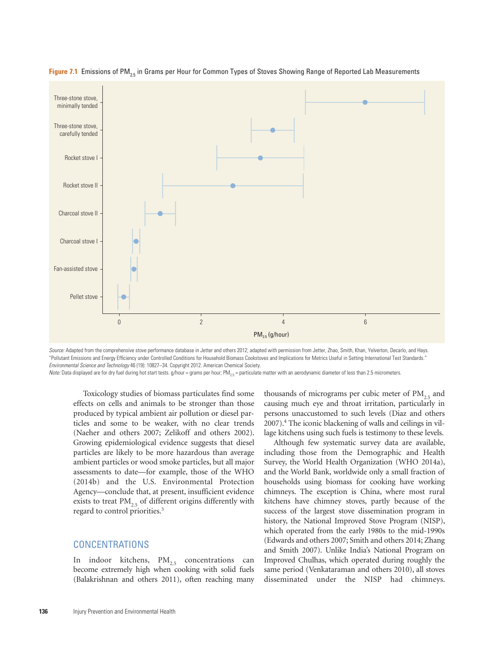

**Figure 7.1** Emissions of PM<sub>2.5</sub> in Grams per Hour for Common Types of Stoves Showing Range of Reported Lab Measurements

Source: Adapted from the comprehensive stove performance database in Jetter and others 2012; adapted with permission from Jetter, Zhao, Smith, Khan, Yelverton, Decarlo, and Hays. "Pollutant Emissions and Energy Efficiency under Controlled Conditions for Household Biomass Cookstoves and Implications for Metrics Useful in Setting International Test Standards." Environmental Science and Technology 46 (19): 10827–34. Copyright 2012. American Chemical Society.

Note: Data displayed are for dry fuel during hot start tests. g/hour = grams per hour; PM<sub>2.5</sub> = particulate matter with an aerodynamic diameter of less than 2.5 micrometers.

Toxicology studies of biomass particulates find some effects on cells and animals to be stronger than those produced by typical ambient air pollution or diesel particles and some to be weaker, with no clear trends (Naeher and others 2007; Zelikoff and others 2002). Growing epidemiological evidence suggests that diesel particles are likely to be more hazardous than average ambient particles or wood smoke particles, but all major assessments to date—for example, those of the WHO (2014b) and the U.S. Environmental Protection Agency—conclude that, at present, insufficient evidence exists to treat  $PM<sub>2.5</sub>$  of different origins differently with regard to control priorities.3

# CONCENTRATIONS

In indoor kitchens,  $PM_{2,5}$  concentrations can become extremely high when cooking with solid fuels (Balakrishnan and others 2011), often reaching many

causing much eye and throat irritation, particularly in persons unaccustomed to such levels (Diaz and others 2007).<sup>4</sup> The iconic blackening of walls and ceilings in village kitchens using such fuels is testimony to these levels. Although few systematic survey data are available,

thousands of micrograms per cubic meter of  $PM_{2.5}$  and

including those from the Demographic and Health Survey, the World Health Organization (WHO 2014a), and the World Bank, worldwide only a small fraction of households using biomass for cooking have working chimneys. The exception is China, where most rural kitchens have chimney stoves, partly because of the success of the largest stove dissemination program in history, the National Improved Stove Program (NISP), which operated from the early 1980s to the mid-1990s (Edwards and others 2007; Smith and others 2014; Zhang and Smith 2007). Unlike India's National Program on Improved Chulhas, which operated during roughly the same period (Venkataraman and others 2010), all stoves disseminated under the NISP had chimneys.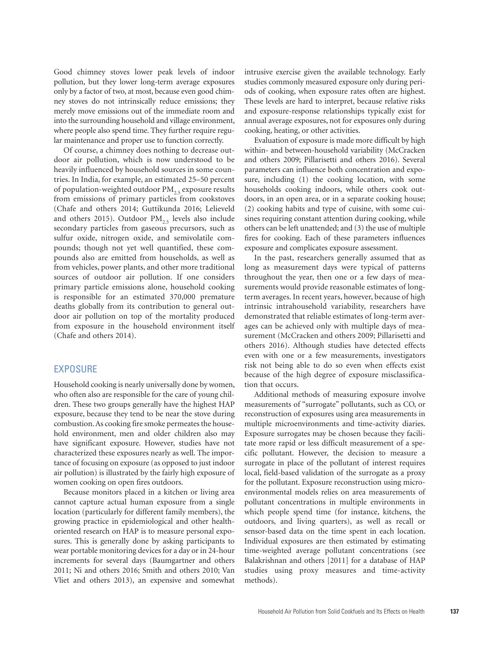Good chimney stoves lower peak levels of indoor pollution, but they lower long-term average exposures only by a factor of two, at most, because even good chimney stoves do not intrinsically reduce emissions; they merely move emissions out of the immediate room and into the surrounding household and village environment, where people also spend time. They further require regular maintenance and proper use to function correctly.

Of course, a chimney does nothing to decrease outdoor air pollution, which is now understood to be heavily influenced by household sources in some countries. In India, for example, an estimated 25–50 percent of population-weighted outdoor  $PM_{2.5}$  exposure results from emissions of primary particles from cookstoves (Chafe and others 2014; Guttikunda 2016; Lelieveld and others 2015). Outdoor  $PM_{2.5}$  levels also include secondary particles from gaseous precursors, such as sulfur oxide, nitrogen oxide, and semivolatile compounds; though not yet well quantified, these compounds also are emitted from households, as well as from vehicles, power plants, and other more traditional sources of outdoor air pollution. If one considers primary particle emissions alone, household cooking is responsible for an estimated 370,000 premature deaths globally from its contribution to general outdoor air pollution on top of the mortality produced from exposure in the household environment itself (Chafe and others 2014).

# EXPOSURE

Household cooking is nearly universally done by women, who often also are responsible for the care of young children. These two groups generally have the highest HAP exposure, because they tend to be near the stove during combustion. As cooking fire smoke permeates the household environment, men and older children also may have significant exposure. However, studies have not characterized these exposures nearly as well. The importance of focusing on exposure (as opposed to just indoor air pollution) is illustrated by the fairly high exposure of women cooking on open fires outdoors.

Because monitors placed in a kitchen or living area cannot capture actual human exposure from a single location (particularly for different family members), the growing practice in epidemiological and other healthoriented research on HAP is to measure personal exposures. This is generally done by asking participants to wear portable monitoring devices for a day or in 24-hour increments for several days (Baumgartner and others 2011; Ni and others 2016; Smith and others 2010; Van Vliet and others 2013), an expensive and somewhat intrusive exercise given the available technology. Early studies commonly measured exposure only during periods of cooking, when exposure rates often are highest. These levels are hard to interpret, because relative risks and exposure-response relationships typically exist for annual average exposures, not for exposures only during cooking, heating, or other activities.

Evaluation of exposure is made more difficult by high within- and between-household variability (McCracken and others 2009; Pillarisetti and others 2016). Several parameters can influence both concentration and exposure, including (1) the cooking location, with some households cooking indoors, while others cook outdoors, in an open area, or in a separate cooking house; (2) cooking habits and type of cuisine, with some cuisines requiring constant attention during cooking, while others can be left unattended; and (3) the use of multiple fires for cooking. Each of these parameters influences exposure and complicates exposure assessment.

In the past, researchers generally assumed that as long as measurement days were typical of patterns throughout the year, then one or a few days of measurements would provide reasonable estimates of longterm averages. In recent years, however, because of high intrinsic intrahousehold variability, researchers have demonstrated that reliable estimates of long-term averages can be achieved only with multiple days of measurement (McCracken and others 2009; Pillarisetti and others 2016). Although studies have detected effects even with one or a few measurements, investigators risk not being able to do so even when effects exist because of the high degree of exposure misclassification that occurs.

Additional methods of measuring exposure involve measurements of "surrogate" pollutants, such as CO, or reconstruction of exposures using area measurements in multiple microenvironments and time-activity diaries. Exposure surrogates may be chosen because they facilitate more rapid or less difficult measurement of a specific pollutant. However, the decision to measure a surrogate in place of the pollutant of interest requires local, field-based validation of the surrogate as a proxy for the pollutant. Exposure reconstruction using microenvironmental models relies on area measurements of pollutant concentrations in multiple environments in which people spend time (for instance, kitchens, the outdoors, and living quarters), as well as recall or sensor-based data on the time spent in each location. Individual exposures are then estimated by estimating time-weighted average pollutant concentrations (see Balakrishnan and others [2011] for a database of HAP studies using proxy measures and time-activity methods).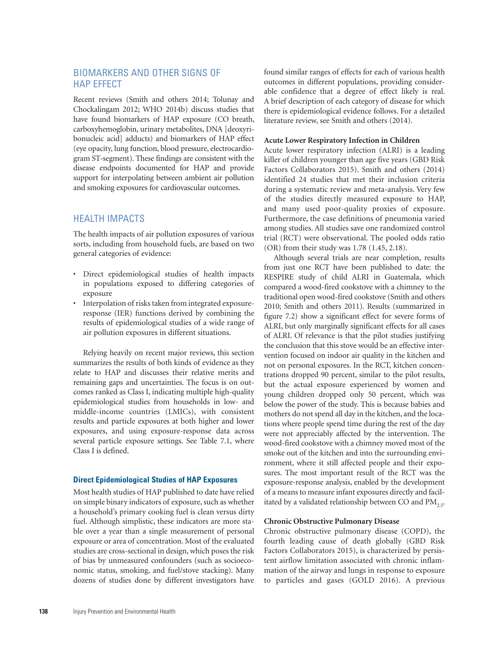# BIOMARKERS AND OTHER SIGNS OF HAP EFFECT

Recent reviews (Smith and others 2014; Tolunay and Chockalingam 2012; WHO 2014b) discuss studies that have found biomarkers of HAP exposure (CO breath, carboxyhemoglobin, urinary metabolites, DNA [deoxyribonucleic acid] adducts) and biomarkers of HAP effect (eye opacity, lung function, blood pressure, electrocardiogram ST-segment). These findings are consistent with the disease endpoints documented for HAP and provide support for interpolating between ambient air pollution and smoking exposures for cardiovascular outcomes.

# HEALTH IMPACTS

The health impacts of air pollution exposures of various sorts, including from household fuels, are based on two general categories of evidence:

- Direct epidemiological studies of health impacts in populations exposed to differing categories of exposure
- Interpolation of risks taken from integrated exposureresponse (IER) functions derived by combining the results of epidemiological studies of a wide range of air pollution exposures in different situations.

Relying heavily on recent major reviews, this section summarizes the results of both kinds of evidence as they relate to HAP and discusses their relative merits and remaining gaps and uncertainties. The focus is on outcomes ranked as Class I, indicating multiple high-quality epidemiological studies from households in low- and middle-income countries (LMICs), with consistent results and particle exposures at both higher and lower exposures, and using exposure-response data across several particle exposure settings. See Table 7.1, where Class I is defined.

### **Direct Epidemiological Studies of HAP Exposures**

Most health studies of HAP published to date have relied on simple binary indicators of exposure, such as whether a household's primary cooking fuel is clean versus dirty fuel. Although simplistic, these indicators are more stable over a year than a single measurement of personal exposure or area of concentration. Most of the evaluated studies are cross-sectional in design, which poses the risk of bias by unmeasured confounders (such as socioeconomic status, smoking, and fuel/stove stacking). Many dozens of studies done by different investigators have found similar ranges of effects for each of various health outcomes in different populations, providing considerable confidence that a degree of effect likely is real. A brief description of each category of disease for which there is epidemiological evidence follows. For a detailed literature review, see Smith and others (2014).

### **Acute Lower Respiratory Infection in Children**

Acute lower respiratory infection (ALRI) is a leading killer of children younger than age five years (GBD Risk Factors Collaborators 2015). Smith and others (2014) identified 24 studies that met their inclusion criteria during a systematic review and meta-analysis. Very few of the studies directly measured exposure to HAP, and many used poor-quality proxies of exposure. Furthermore, the case definitions of pneumonia varied among studies. All studies save one randomized control trial (RCT) were observational. The pooled odds ratio (OR) from their study was 1.78 (1.45, 2.18).

Although several trials are near completion, results from just one RCT have been published to date: the RESPIRE study of child ALRI in Guatemala, which compared a wood-fired cookstove with a chimney to the traditional open wood-fired cookstove (Smith and others 2010; Smith and others 2011). Results ( summarized in figure 7.2) show a significant effect for severe forms of ALRI, but only marginally significant effects for all cases of ALRI. Of relevance is that the pilot studies justifying the conclusion that this stove would be an effective intervention focused on indoor air quality in the kitchen and not on personal exposures. In the RCT, kitchen concentrations dropped 90 percent, similar to the pilot results, but the actual exposure experienced by women and young children dropped only 50 percent, which was below the power of the study. This is because babies and mothers do not spend all day in the kitchen, and the locations where people spend time during the rest of the day were not appreciably affected by the intervention. The wood-fired cookstove with a chimney moved most of the smoke out of the kitchen and into the surrounding environment, where it still affected people and their exposures. The most important result of the RCT was the exposure-response analysis, enabled by the development of a means to measure infant exposures directly and facilitated by a validated relationship between CO and  $PM_{2.5}$ .

### **Chronic Obstructive Pulmonary Disease**

Chronic obstructive pulmonary disease (COPD), the fourth leading cause of death globally (GBD Risk Factors Collaborators 2015), is characterized by persistent airflow limitation associated with chronic inflammation of the airway and lungs in response to exposure to particles and gases (GOLD 2016). A previous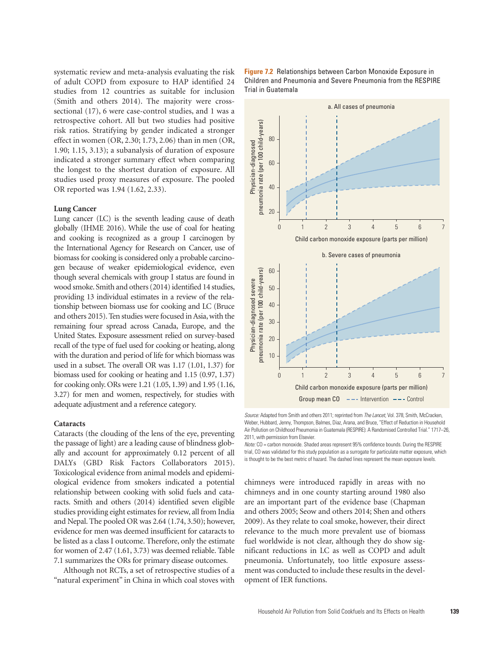systematic review and meta-analysis evaluating the risk of adult COPD from exposure to HAP identified 24 studies from 12 countries as suitable for inclusion (Smith and others 2014). The majority were crosssectional (17), 6 were case-control studies, and 1 was a retrospective cohort. All but two studies had positive risk ratios. Stratifying by gender indicated a stronger effect in women (OR, 2.30; 1.73, 2.06) than in men (OR, 1.90; 1.15, 3.13); a subanalysis of duration of exposure indicated a stronger summary effect when comparing the longest to the shortest duration of exposure. All studies used proxy measures of exposure. The pooled OR reported was 1.94 (1.62, 2.33).

### **Lung Cancer**

Lung cancer (LC) is the seventh leading cause of death globally (IHME 2016). While the use of coal for heating and cooking is recognized as a group I carcinogen by the International Agency for Research on Cancer, use of biomass for cooking is considered only a probable carcinogen because of weaker epidemiological evidence, even though several chemicals with group I status are found in wood smoke. Smith and others (2014) identified 14 studies, providing 13 individual estimates in a review of the relationship between biomass use for cooking and LC (Bruce and others 2015). Ten studies were focused in Asia, with the remaining four spread across Canada, Europe, and the United States. Exposure assessment relied on survey-based recall of the type of fuel used for cooking or heating, along with the duration and period of life for which biomass was used in a subset. The overall OR was 1.17 (1.01, 1.37) for biomass used for cooking or heating and 1.15 (0.97, 1.37) for cooking only. ORs were 1.21 (1.05, 1.39) and 1.95 (1.16, 3.27) for men and women, respectively, for studies with adequate adjustment and a reference category.

### **Cataracts**

Cataracts (the clouding of the lens of the eye, preventing the passage of light) are a leading cause of blindness globally and account for approximately 0.12 percent of all DALYs (GBD Risk Factors Collaborators 2015). Toxicological evidence from animal models and epidemiological evidence from smokers indicated a potential relationship between cooking with solid fuels and cataracts. Smith and others (2014) identified seven eligible studies providing eight estimates for review, all from India and Nepal. The pooled OR was 2.64 (1.74, 3.50); however, evidence for men was deemed insufficient for cataracts to be listed as a class I outcome. Therefore, only the estimate for women of 2.47 (1.61, 3.73) was deemed reliable. Table 7.1 summarizes the ORs for primary disease outcomes.

Although not RCTs, a set of retrospective studies of a "natural experiment" in China in which coal stoves with **Figure 7.2** Relationships between Carbon Monoxide Exposure in Children and Pneumonia and Severe Pneumonia from the RESPIRE Trial in Guatemala



Source: Adapted from Smith and others 2011; reprinted from The Lancet, Vol. 378, Smith, McCracken, Weber, Hubbard, Jenny, Thompson, Balmes, Diaz, Arana, and Bruce, "Effect of Reduction in Household Air Pollution on Childhood Pneumonia in Guatemala (RESPIRE): A Randomised Controlled Trial." 1717–26, 2011, with permission from Elsevier.

Note: CO = carbon monoxide. Shaded areas represent 95% confidence bounds. During the RESPIRE trial, CO was validated for this study population as a surrogate for particulate matter exposure, which is thought to be the best metric of hazard. The dashed lines represent the mean exposure levels.

chimneys were introduced rapidly in areas with no chimneys and in one county starting around 1980 also are an important part of the evidence base (Chapman and others 2005; Seow and others 2014; Shen and others 2009). As they relate to coal smoke, however, their direct relevance to the much more prevalent use of biomass fuel worldwide is not clear, although they do show significant reductions in LC as well as COPD and adult pneumonia. Unfortunately, too little exposure assessment was conducted to include these results in the development of IER functions.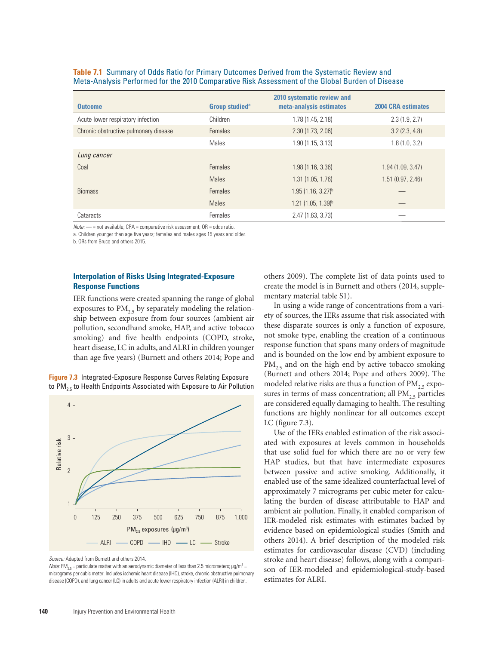|                                       |                                  | 2010 systematic review and       |                           |
|---------------------------------------|----------------------------------|----------------------------------|---------------------------|
| <b>Outcome</b>                        | <b>Group studied<sup>a</sup></b> | meta-analysis estimates          | <b>2004 CRA estimates</b> |
| Acute lower respiratory infection     | Children                         | 1.78 (1.45, 2.18)                | 2.3(1.9, 2.7)             |
| Chronic obstructive pulmonary disease | <b>Females</b>                   | 2.30(1.73, 2.06)                 | 3.2(2.3, 4.8)             |
|                                       | <b>Males</b>                     | 1.90(1.15, 3.13)                 | 1.8(1.0, 3.2)             |
| Lung cancer                           |                                  |                                  |                           |
| Coal                                  | Females                          | 1.98(1.16, 3.36)                 | 1.94(1.09, 3.47)          |
|                                       | <b>Males</b>                     | 1.31(1.05, 1.76)                 | 1.51(0.97, 2.46)          |
| <b>Biomass</b>                        | Females                          | $1.95(1.16, 3.27)^{b}$           |                           |
|                                       | <b>Males</b>                     | $1.21$ (1.05, 1.39) <sup>b</sup> |                           |
| Cataracts                             | Females                          | 2.47(1.63, 3.73)                 |                           |

### **Table 7.1** Summary of Odds Ratio for Primary Outcomes Derived from the Systematic Review and Meta-Analysis Performed for the 2010 Comparative Risk Assessment of the Global Burden of Disease

 $Note:$   $\longrightarrow$  = not available; CRA = comparative risk assessment; OR = odds ratio

a. Children younger than age five years; females and males ages 15 years and older.

b. ORs from Bruce and others 2015.

### **Interpolation of Risks Using Integrated-Exposure Response Functions**

IER functions were created spanning the range of global exposures to  $PM_{2,5}$  by separately modeling the relationship between exposure from four sources (ambient air pollution, secondhand smoke, HAP, and active tobacco smoking) and five health endpoints (COPD, stroke, heart disease, LC in adults, and ALRI in children younger than age five years) (Burnett and others 2014; Pope and





Source: Adapted from Burnett and others 2014.

*Note:* PM<sub>2.5</sub> = particulate matter with an aerodynamic diameter of less than 2.5 micrometers;  $\mu$ g/m<sup>3</sup> = micrograms per cubic meter. Includes ischemic heart disease (IHD), stroke, chronic obstructive pulmonary disease (COPD), and lung cancer (LC) in adults and acute lower respiratory infection (ALRI) in children.

others 2009). The complete list of data points used to create the model is in Burnett and others (2014, supplementary material table S1).

In using a wide range of concentrations from a variety of sources, the IERs assume that risk associated with these disparate sources is only a function of exposure, not smoke type, enabling the creation of a continuous response function that spans many orders of magnitude and is bounded on the low end by ambient exposure to  $PM_{2.5}$  and on the high end by active tobacco smoking (Burnett and others 2014; Pope and others 2009). The modeled relative risks are thus a function of  $PM_{2.5}$  exposures in terms of mass concentration; all  $PM_{2.5}$  particles are considered equally damaging to health. The resulting functions are highly nonlinear for all outcomes except LC (figure 7.3).

Use of the IERs enabled estimation of the risk associated with exposures at levels common in households that use solid fuel for which there are no or very few HAP studies, but that have intermediate exposures between passive and active smoking. Additionally, it enabled use of the same idealized counterfactual level of approximately 7 micrograms per cubic meter for calculating the burden of disease attributable to HAP and ambient air pollution. Finally, it enabled comparison of IER-modeled risk estimates with estimates backed by evidence based on epidemiological studies (Smith and others 2014). A brief description of the modeled risk estimates for cardiovascular disease (CVD) (including stroke and heart disease) follows, along with a comparison of IER-modeled and epidemiological-study-based estimates for ALRI.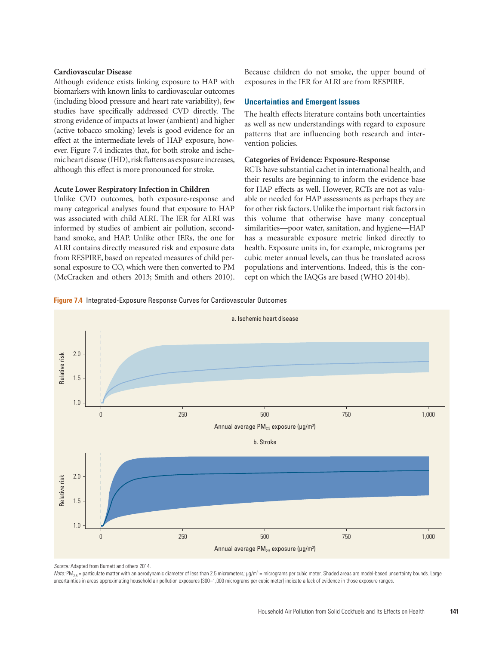### **Cardiovascular Disease**

Although evidence exists linking exposure to HAP with biomarkers with known links to cardiovascular outcomes (including blood pressure and heart rate variability), few studies have specifically addressed CVD directly. The strong evidence of impacts at lower (ambient) and higher (active tobacco smoking) levels is good evidence for an effect at the intermediate levels of HAP exposure, however. Figure 7.4 indicates that, for both stroke and ischemic heart disease (IHD), risk flattens as exposure increases, although this effect is more pronounced for stroke.

### **Acute Lower Respiratory Infection in Children**

Unlike CVD outcomes, both exposure-response and many categorical analyses found that exposure to HAP was associated with child ALRI. The IER for ALRI was informed by studies of ambient air pollution, secondhand smoke, and HAP. Unlike other IERs, the one for ALRI contains directly measured risk and exposure data from RESPIRE, based on repeated measures of child personal exposure to CO, which were then converted to PM (McCracken and others 2013; Smith and others 2010). Because children do not smoke, the upper bound of exposures in the IER for ALRI are from RESPIRE.

### **Uncertainties and Emergent Issues**

The health effects literature contains both uncertainties as well as new understandings with regard to exposure patterns that are influencing both research and intervention policies.

### **Categories of Evidence: Exposure-Response**

RCTs have substantial cachet in international health, and their results are beginning to inform the evidence base for HAP effects as well. However, RCTs are not as valuable or needed for HAP assessments as perhaps they are for other risk factors. Unlike the important risk factors in this volume that otherwise have many conceptual similarities—poor water, sanitation, and hygiene—HAP has a measurable exposure metric linked directly to health. Exposure units in, for example, micrograms per cubic meter annual levels, can thus be translated across populations and interventions. Indeed, this is the concept on which the IAQGs are based (WHO 2014b).





Source: Adapted from Burnett and others 2014.

*Note:* PM<sub>2.5</sub> = particulate matter with an aerodynamic diameter of less than 2.5 micrometers; µg/m<sup>3</sup> = micrograms per cubic meter. Shaded areas are model-based uncertainty bounds. Large uncertainties in areas approximating household air pollution exposures (300–1,000 micrograms per cubic meter) indicate a lack of evidence in those exposure ranges.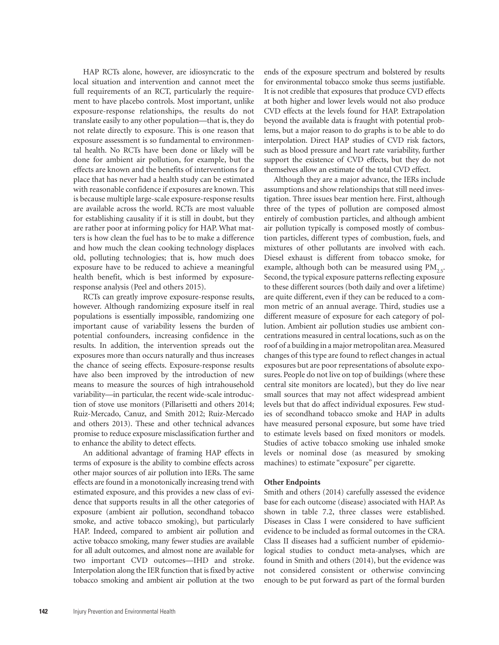HAP RCTs alone, however, are idiosyncratic to the local situation and intervention and cannot meet the full requirements of an RCT, particularly the requirement to have placebo controls. Most important, unlike exposure-response relationships, the results do not translate easily to any other population—that is, they do not relate directly to exposure. This is one reason that exposure assessment is so fundamental to environmental health. No RCTs have been done or likely will be done for ambient air pollution, for example, but the effects are known and the benefits of interventions for a place that has never had a health study can be estimated with reasonable confidence if exposures are known. This is because multiple large-scale exposure-response results are available across the world. RCTs are most valuable for establishing causality if it is still in doubt, but they are rather poor at informing policy for HAP. What matters is how clean the fuel has to be to make a difference and how much the clean cooking technology displaces old, polluting technologies; that is, how much does exposure have to be reduced to achieve a meaningful health benefit, which is best informed by exposureresponse analysis (Peel and others 2015).

RCTs can greatly improve exposure-response results, however. Although randomizing exposure itself in real populations is essentially impossible, randomizing one important cause of variability lessens the burden of potential confounders, increasing confidence in the results. In addition, the intervention spreads out the exposures more than occurs naturally and thus increases the chance of seeing effects. Exposure-response results have also been improved by the introduction of new means to measure the sources of high intrahousehold variability—in particular, the recent wide-scale introduction of stove use monitors (Pillarisetti and others 2014; Ruiz-Mercado, Canuz, and Smith 2012; Ruiz-Mercado and others 2013). These and other technical advances promise to reduce exposure misclassification further and to enhance the ability to detect effects.

An additional advantage of framing HAP effects in terms of exposure is the ability to combine effects across other major sources of air pollution into IERs. The same effects are found in a monotonically increasing trend with estimated exposure, and this provides a new class of evidence that supports results in all the other categories of exposure (ambient air pollution, secondhand tobacco smoke, and active tobacco smoking), but particularly HAP. Indeed, compared to ambient air pollution and active tobacco smoking, many fewer studies are available for all adult outcomes, and almost none are available for two important CVD outcomes—IHD and stroke. Interpolation along the IER function that is fixed by active tobacco smoking and ambient air pollution at the two ends of the exposure spectrum and bolstered by results for environmental tobacco smoke thus seems justifiable. It is not credible that exposures that produce CVD effects at both higher and lower levels would not also produce CVD effects at the levels found for HAP. Extrapolation beyond the available data is fraught with potential problems, but a major reason to do graphs is to be able to do interpolation. Direct HAP studies of CVD risk factors, such as blood pressure and heart rate variability, further support the existence of CVD effects, but they do not themselves allow an estimate of the total CVD effect.

Although they are a major advance, the IERs include assumptions and show relationships that still need investigation. Three issues bear mention here. First, although three of the types of pollution are composed almost entirely of combustion particles, and although ambient air pollution typically is composed mostly of combustion particles, different types of combustion, fuels, and mixtures of other pollutants are involved with each. Diesel exhaust is different from tobacco smoke, for example, although both can be measured using  $PM_{2.5}$ . Second, the typical exposure patterns reflecting exposure to these different sources (both daily and over a lifetime) are quite different, even if they can be reduced to a common metric of an annual average. Third, studies use a different measure of exposure for each category of pollution. Ambient air pollution studies use ambient concentrations measured in central locations, such as on the roof of a building in a major metropolitan area. Measured changes of this type are found to reflect changes in actual exposures but are poor representations of absolute exposures. People do not live on top of buildings (where these central site monitors are located), but they do live near small sources that may not affect widespread ambient levels but that do affect individual exposures. Few studies of secondhand tobacco smoke and HAP in adults have measured personal exposure, but some have tried to estimate levels based on fixed monitors or models. Studies of active tobacco smoking use inhaled smoke levels or nominal dose (as measured by smoking machines) to estimate "exposure" per cigarette.

### **Other Endpoints**

Smith and others (2014) carefully assessed the evidence base for each outcome (disease) associated with HAP. As shown in table 7.2, three classes were established. Diseases in Class I were considered to have sufficient evidence to be included as formal outcomes in the CRA. Class II diseases had a sufficient number of epidemiological studies to conduct meta-analyses, which are found in Smith and others (2014), but the evidence was not considered consistent or otherwise convincing enough to be put forward as part of the formal burden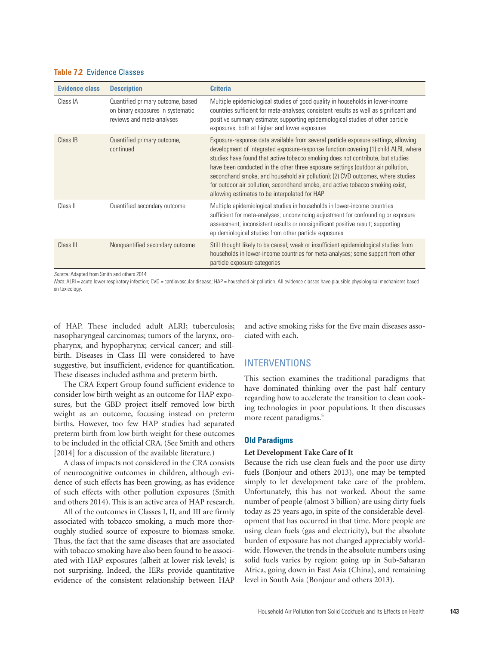# **Table 7.2** Evidence Classes

| <b>Evidence class</b> | <b>Description</b>                                                                                  | <b>Criteria</b>                                                                                                                                                                                                                                                                                                                                                                                                                                                                                                                                                        |
|-----------------------|-----------------------------------------------------------------------------------------------------|------------------------------------------------------------------------------------------------------------------------------------------------------------------------------------------------------------------------------------------------------------------------------------------------------------------------------------------------------------------------------------------------------------------------------------------------------------------------------------------------------------------------------------------------------------------------|
| Class IA              | Quantified primary outcome, based<br>on binary exposures in systematic<br>reviews and meta-analyses | Multiple epidemiological studies of good quality in households in lower-income<br>countries sufficient for meta-analyses; consistent results as well as significant and<br>positive summary estimate; supporting epidemiological studies of other particle<br>exposures, both at higher and lower exposures                                                                                                                                                                                                                                                            |
| Class IB              | Quantified primary outcome,<br>continued                                                            | Exposure-response data available from several particle exposure settings, allowing<br>development of integrated exposure-response function covering (1) child ALRI, where<br>studies have found that active tobacco smoking does not contribute, but studies<br>have been conducted in the other three exposure settings (outdoor air pollution,<br>secondhand smoke, and household air pollution); (2) CVD outcomes, where studies<br>for outdoor air pollution, secondhand smoke, and active tobacco smoking exist,<br>allowing estimates to be interpolated for HAP |
| Class II              | Quantified secondary outcome                                                                        | Multiple epidemiological studies in households in lower-income countries<br>sufficient for meta-analyses; unconvincing adjustment for confounding or exposure<br>assessment; inconsistent results or nonsignificant positive result; supporting<br>epidemiological studies from other particle exposures                                                                                                                                                                                                                                                               |
| Class III             | Nonquantified secondary outcome                                                                     | Still thought likely to be causal; weak or insufficient epidemiological studies from<br>households in lower-income countries for meta-analyses; some support from other<br>particle exposure categories                                                                                                                                                                                                                                                                                                                                                                |

Source: Adapted from Smith and others 2014.

Note: ALRI = acute lower respiratory infection; CVD = cardiovascular disease; HAP = household air pollution. All evidence classes have plausible physiological mechanisms based on toxicology.

of HAP. These included adult ALRI; tuberculosis; nasopharyngeal carcinomas; tumors of the larynx, oropharynx, and hypopharynx; cervical cancer; and stillbirth. Diseases in Class III were considered to have suggestive, but insufficient, evidence for quantification. These diseases included asthma and preterm birth.

The CRA Expert Group found sufficient evidence to consider low birth weight as an outcome for HAP exposures, but the GBD project itself removed low birth weight as an outcome, focusing instead on preterm births. However, too few HAP studies had separated preterm birth from low birth weight for these outcomes to be included in the official CRA. (See Smith and others [2014] for a discussion of the available literature.)

A class of impacts not considered in the CRA consists of neurocognitive outcomes in children, although evidence of such effects has been growing, as has evidence of such effects with other pollution exposures (Smith and others 2014). This is an active area of HAP research.

All of the outcomes in Classes I, II, and III are firmly associated with tobacco smoking, a much more thoroughly studied source of exposure to biomass smoke. Thus, the fact that the same diseases that are associated with tobacco smoking have also been found to be associated with HAP exposures (albeit at lower risk levels) is not surprising. Indeed, the IERs provide quantitative evidence of the consistent relationship between HAP

and active smoking risks for the five main diseases associated with each.

# INTERVENTIONS

This section examines the traditional paradigms that have dominated thinking over the past half century regarding how to accelerate the transition to clean cooking technologies in poor populations. It then discusses more recent paradigms.<sup>5</sup>

### **Old Paradigms**

### **Let Development Take Care of It**

Because the rich use clean fuels and the poor use dirty fuels (Bonjour and others 2013), one may be tempted simply to let development take care of the problem. Unfortunately, this has not worked. About the same number of people (almost 3 billion) are using dirty fuels today as 25 years ago, in spite of the considerable development that has occurred in that time. More people are using clean fuels (gas and electricity), but the absolute burden of exposure has not changed appreciably worldwide. However, the trends in the absolute numbers using solid fuels varies by region: going up in Sub-Saharan Africa, going down in East Asia (China), and remaining level in South Asia (Bonjour and others 2013).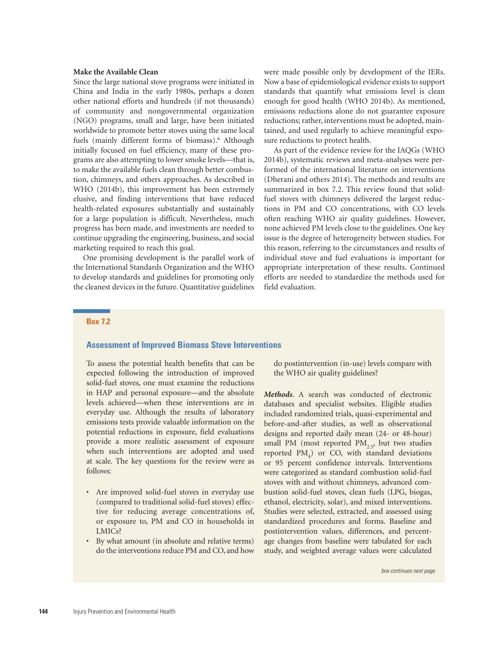### **Make the Available Clean**

Since the large national stove programs were initiated in China and India in the early 1980s, perhaps a dozen other national efforts and hundreds (if not thousands) of community and nongovernmental organization (NGO) programs, small and large, have been initiated worldwide to promote better stoves using the same local fuels (mainly different forms of biomass).<sup>6</sup> Although initially focused on fuel efficiency, many of these programs are also attempting to lower smoke levels—that is, to make the available fuels clean through better combustion, chimneys, and others approaches. As described in WHO (2014b), this improvement has been extremely elusive, and finding interventions that have reduced health-related exposures substantially and sustainably for a large population is difficult. Nevertheless, much progress has been made, and investments are needed to continue upgrading the engineering, business, and social marketing required to reach this goal.

One promising development is the parallel work of the International Standards Organization and the WHO to develop standards and guidelines for promoting only the cleanest devices in the future. Quantitative guidelines

were made possible only by development of the IERs. Now a base of epidemiological evidence exists to support standards that quantify what emissions level is clean enough for good health (WHO 2014b). As mentioned, emissions reductions alone do not guarantee exposure reductions; rather, interventions must be adopted, maintained, and used regularly to achieve meaningful exposure reductions to protect health.

As part of the evidence review for the IAQGs (WHO 2014b), systematic reviews and meta-analyses were performed of the international literature on interventions (Dherani and others 2014). The methods and results are summarized in box 7.2. This review found that solidfuel stoves with chimneys delivered the largest reductions in PM and CO concentrations, with CO levels often reaching WHO air quality guidelines. However, none achieved PM levels close to the guidelines. One key issue is the degree of heterogeneity between studies. For this reason, referring to the circumstances and results of individual stove and fuel evaluations is important for appropriate interpretation of these results. Continued efforts are needed to standardize the methods used for field evaluation.

### **Box 7.2**

### **Assessment of Improved Biomass Stove Interventions**

To assess the potential health benefits that can be expected following the introduction of improved solid-fuel stoves, one must examine the reductions in HAP and personal exposure—and the absolute levels achieved—when these interventions are in everyday use. Although the results of laboratory emissions tests provide valuable information on the potential reductions in exposure, field evaluations provide a more realistic assessment of exposure when such interventions are adopted and used at scale. The key questions for the review were as follows:

- Are improved solid-fuel stoves in everyday use (compared to traditional solid-fuel stoves) effective for reducing average concentrations of, or exposure to, PM and CO in households in LMICs?
- By what amount (in absolute and relative terms) do the interventions reduce PM and CO, and how

do postintervention (in-use) levels compare with the WHO air quality guidelines?

*Methods*. A search was conducted of electronic databases and specialist websites. Eligible studies included randomized trials, quasi-experimental and before-and-after studies, as well as observational designs and reported daily mean (24- or 48-hour) small PM (most reported PM<sub>2.5</sub>, but two studies reported  $PM_4$ ) or CO, with standard deviations or 95 percent confidence intervals. Interventions were categorized as standard combustion solid-fuel stoves with and without chimneys, advanced combustion solid-fuel stoves, clean fuels (LPG, biogas, ethanol, electricity, solar), and mixed interventions. Studies were selected, extracted, and assessed using standardized procedures and forms. Baseline and postintervention values, differences, and percentage changes from baseline were tabulated for each study, and weighted average values were calculated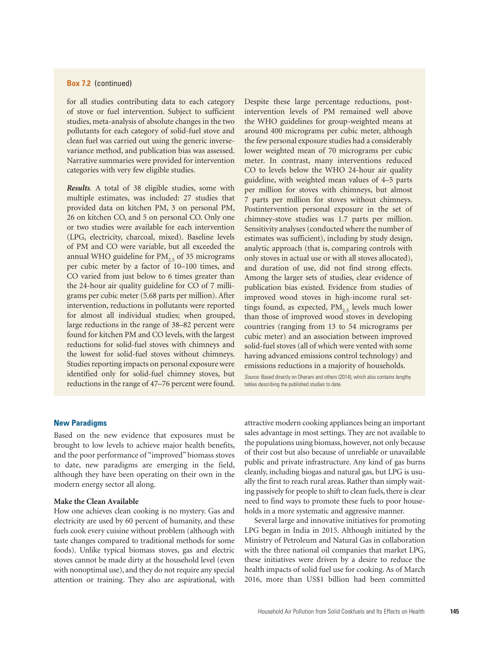### **Box 7.2** (continued)

for all studies contributing data to each category of stove or fuel intervention. Subject to sufficient studies, meta-analysis of absolute changes in the two pollutants for each category of solid-fuel stove and clean fuel was carried out using the generic inversevariance method, and publication bias was assessed. Narrative summaries were provided for intervention categories with very few eligible studies.

*Results.* A total of 38 eligible studies, some with multiple estimates, was included: 27 studies that provided data on kitchen PM, 3 on personal PM, 26 on kitchen CO, and 5 on personal CO. Only one or two studies were available for each intervention (LPG, electricity, charcoal, mixed). Baseline levels of PM and CO were variable, but all exceeded the annual WHO guideline for  $PM_{2.5}$  of 35 micrograms per cubic meter by a factor of 10–100 times, and CO varied from just below to 6 times greater than the 24-hour air quality guideline for CO of 7 milligrams per cubic meter (5.68 parts per million). After intervention, reductions in pollutants were reported for almost all individual studies; when grouped, large reductions in the range of 38–82 percent were found for kitchen PM and CO levels, with the largest reductions for solid-fuel stoves with chimneys and the lowest for solid-fuel stoves without chimneys. Studies reporting impacts on personal exposure were identified only for solid-fuel chimney stoves, but reductions in the range of 47–76 percent were found. Despite these large percentage reductions, postintervention levels of PM remained well above the WHO guidelines for group-weighted means at around 400 micrograms per cubic meter, although the few personal exposure studies had a considerably lower weighted mean of 70 micrograms per cubic meter. In contrast, many interventions reduced CO to levels below the WHO 24-hour air quality guideline, with weighted mean values of 4–5 parts per million for stoves with chimneys, but almost 7 parts per million for stoves without chimneys. Postintervention personal exposure in the set of chimney-stove studies was 1.7 parts per million. Sensitivity analyses (conducted where the number of estimates was sufficient), including by study design, analytic approach (that is, comparing controls with only stoves in actual use or with all stoves allocated), and duration of use, did not find strong effects. Among the larger sets of studies, clear evidence of publication bias existed. Evidence from studies of improved wood stoves in high-income rural settings found, as expected,  $PM_{2.5}$  levels much lower than those of improved wood stoves in developing countries (ranging from 13 to 54 micrograms per cubic meter) and an association between improved solid-fuel stoves (all of which were vented with some having advanced emissions control technology) and emissions reductions in a majority of households. Source: Based directly on Dherani and others (2014), which also contains lengthy

tables describing the published studies to date.

### **New Paradigms**

Based on the new evidence that exposures must be brought to low levels to achieve major health benefits, and the poor performance of "improved" biomass stoves to date, new paradigms are emerging in the field, although they have been operating on their own in the modern energy sector all along.

### **Make the Clean Available**

How one achieves clean cooking is no mystery. Gas and electricity are used by 60 percent of humanity, and these fuels cook every cuisine without problem (although with taste changes compared to traditional methods for some foods). Unlike typical biomass stoves, gas and electric stoves cannot be made dirty at the household level (even with nonoptimal use), and they do not require any special attention or training. They also are aspirational, with

attractive modern cooking appliances being an important sales advantage in most settings. They are not available to the populations using biomass, however, not only because of their cost but also because of unreliable or unavailable public and private infrastructure. Any kind of gas burns cleanly, including biogas and natural gas, but LPG is usually the first to reach rural areas. Rather than simply waiting passively for people to shift to clean fuels, there is clear need to find ways to promote these fuels to poor households in a more systematic and aggressive manner.

Several large and innovative initiatives for promoting LPG began in India in 2015. Although initiated by the Ministry of Petroleum and Natural Gas in collaboration with the three national oil companies that market LPG, these initiatives were driven by a desire to reduce the health impacts of solid fuel use for cooking. As of March 2016, more than US\$1 billion had been committed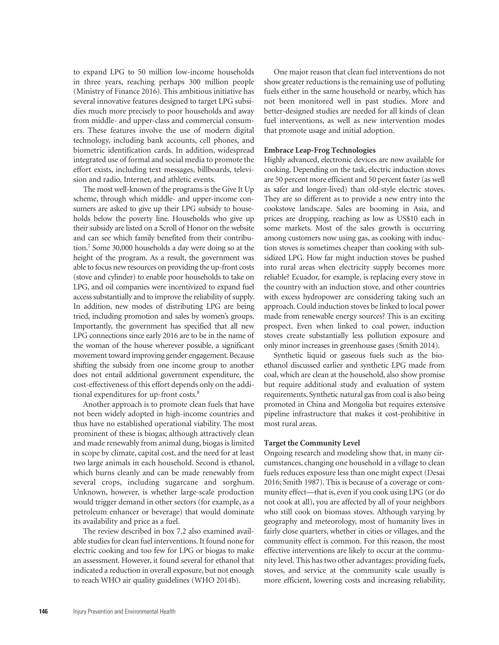to expand LPG to 50 million low-income households in three years, reaching perhaps 300 million people (Ministry of Finance 2016). This ambitious initiative has several innovative features designed to target LPG subsidies much more precisely to poor households and away from middle- and upper-class and commercial consumers. These features involve the use of modern digital technology, including bank accounts, cell phones, and biometric identification cards. In addition, widespread integrated use of formal and social media to promote the effort exists, including text messages, billboards, television and radio, Internet, and athletic events.

The most well-known of the programs is the Give It Up scheme, through which middle- and upper-income consumers are asked to give up their LPG subsidy to households below the poverty line. Households who give up their subsidy are listed on a Scroll of Honor on the website and can see which family benefited from their contribution.7 Some 30,000 households a day were doing so at the height of the program. As a result, the government was able to focus new resources on providing the up-front costs (stove and cylinder) to enable poor households to take on LPG, and oil companies were incentivized to expand fuel access substantially and to improve the reliability of supply. In addition, new modes of distributing LPG are being tried, including promotion and sales by women's groups. Importantly, the government has specified that all new LPG connections since early 2016 are to be in the name of the woman of the house wherever possible, a significant movement toward improving gender engagement. Because shifting the subsidy from one income group to another does not entail additional government expenditure, the cost-effectiveness of this effort depends only on the additional expenditures for up-front costs.8

Another approach is to promote clean fuels that have not been widely adopted in high-income countries and thus have no established operational viability. The most prominent of these is biogas; although attractively clean and made renewably from animal dung, biogas is limited in scope by climate, capital cost, and the need for at least two large animals in each household. Second is ethanol, which burns cleanly and can be made renewably from several crops, including sugarcane and sorghum. Unknown, however, is whether large-scale production would trigger demand in other sectors (for example, as a petroleum enhancer or beverage) that would dominate its availability and price as a fuel.

The review described in box 7.2 also examined available studies for clean fuel interventions. It found none for electric cooking and too few for LPG or biogas to make an assessment. However, it found several for ethanol that indicated a reduction in overall exposure, but not enough to reach WHO air quality guidelines (WHO 2014b).

One major reason that clean fuel interventions do not show greater reductions is the remaining use of polluting fuels either in the same household or nearby, which has not been monitored well in past studies. More and better-designed studies are needed for all kinds of clean fuel interventions, as well as new intervention modes that promote usage and initial adoption.

### **Embrace Leap-Frog Technologies**

Highly advanced, electronic devices are now available for cooking. Depending on the task, electric induction stoves are 50 percent more efficient and 50 percent faster (as well as safer and longer-lived) than old-style electric stoves. They are so different as to provide a new entry into the cookstove landscape. Sales are booming in Asia, and prices are dropping, reaching as low as US\$10 each in some markets. Most of the sales growth is occurring among customers now using gas, as cooking with induction stoves is sometimes cheaper than cooking with subsidized LPG. How far might induction stoves be pushed into rural areas when electricity supply becomes more reliable? Ecuador, for example, is replacing every stove in the country with an induction stove, and other countries with excess hydropower are considering taking such an approach. Could induction stoves be linked to local power made from renewable energy sources? This is an exciting prospect. Even when linked to coal power, induction stoves create substantially less pollution exposure and only minor increases in greenhouse gases (Smith 2014).

Synthetic liquid or gaseous fuels such as the bioethanol discussed earlier and synthetic LPG made from coal, which are clean at the household, also show promise but require additional study and evaluation of system requirements. Synthetic natural gas from coal is also being promoted in China and Mongolia but requires extensive pipeline infrastructure that makes it cost-prohibitive in most rural areas.

# **Target the Community Level**

Ongoing research and modeling show that, in many circumstances, changing one household in a village to clean fuels reduces exposure less than one might expect (Desai 2016; Smith 1987). This is because of a coverage or community effect—that is, even if you cook using LPG (or do not cook at all), you are affected by all of your neighbors who still cook on biomass stoves. Although varying by geography and meteorology, most of humanity lives in fairly close quarters, whether in cities or villages, and the community effect is common. For this reason, the most effective interventions are likely to occur at the community level. This has two other advantages: providing fuels, stoves, and service at the community scale usually is more efficient, lowering costs and increasing reliability,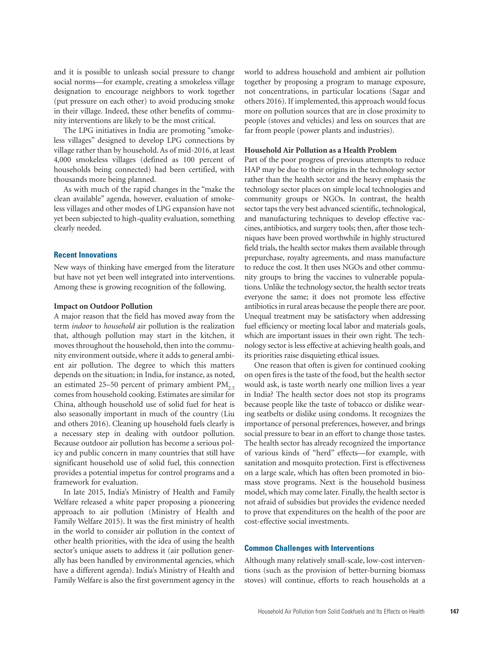and it is possible to unleash social pressure to change social norms—for example, creating a smokeless village designation to encourage neighbors to work together (put pressure on each other) to avoid producing smoke in their village. Indeed, these other benefits of community interventions are likely to be the most critical.

The LPG initiatives in India are promoting "smokeless villages" designed to develop LPG connections by village rather than by household. As of mid-2016, at least 4,000 smokeless villages (defined as 100 percent of households being connected) had been certified, with thousands more being planned.

As with much of the rapid changes in the "make the clean available" agenda, however, evaluation of smokeless villages and other modes of LPG expansion have not yet been subjected to high-quality evaluation, something clearly needed.

### **Recent Innovations**

New ways of thinking have emerged from the literature but have not yet been well integrated into interventions. Among these is growing recognition of the following.

### **Impact on Outdoor Pollution**

A major reason that the field has moved away from the term *indoor* to *household* air pollution is the realization that, although pollution may start in the kitchen, it moves throughout the household, then into the community environment outside, where it adds to general ambient air pollution. The degree to which this matters depends on the situation; in India, for instance, as noted, an estimated 25–50 percent of primary ambient  $PM_{2.5}$ comes from household cooking. Estimates are similar for China, although household use of solid fuel for heat is also seasonally important in much of the country (Liu and others 2016). Cleaning up household fuels clearly is a necessary step in dealing with outdoor pollution. Because outdoor air pollution has become a serious policy and public concern in many countries that still have significant household use of solid fuel, this connection provides a potential impetus for control programs and a framework for evaluation.

In late 2015, India's Ministry of Health and Family Welfare released a white paper proposing a pioneering approach to air pollution (Ministry of Health and Family Welfare 2015). It was the first ministry of health in the world to consider air pollution in the context of other health priorities, with the idea of using the health sector's unique assets to address it (air pollution generally has been handled by environmental agencies, which have a different agenda). India's Ministry of Health and Family Welfare is also the first government agency in the world to address household and ambient air pollution together by proposing a program to manage exposure, not concentrations, in particular locations (Sagar and others 2016). If implemented, this approach would focus more on pollution sources that are in close proximity to people (stoves and vehicles) and less on sources that are far from people (power plants and industries).

#### **Household Air Pollution as a Health Problem**

Part of the poor progress of previous attempts to reduce HAP may be due to their origins in the technology sector rather than the health sector and the heavy emphasis the technology sector places on simple local technologies and community groups or NGOs. In contrast, the health sector taps the very best advanced scientific, technological, and manufacturing techniques to develop effective vaccines, antibiotics, and surgery tools; then, after those techniques have been proved worthwhile in highly structured field trials, the health sector makes them available through prepurchase, royalty agreements, and mass manufacture to reduce the cost. It then uses NGOs and other community groups to bring the vaccines to vulnerable populations. Unlike the technology sector, the health sector treats everyone the same; it does not promote less effective antibiotics in rural areas because the people there are poor. Unequal treatment may be satisfactory when addressing fuel efficiency or meeting local labor and materials goals, which are important issues in their own right. The technology sector is less effective at achieving health goals, and its priorities raise disquieting ethical issues.

One reason that often is given for continued cooking on open fires is the taste of the food, but the health sector would ask, is taste worth nearly one million lives a year in India? The health sector does not stop its programs because people like the taste of tobacco or dislike wearing seatbelts or dislike using condoms. It recognizes the importance of personal preferences, however, and brings social pressure to bear in an effort to change those tastes. The health sector has already recognized the importance of various kinds of "herd" effects—for example, with sanitation and mosquito protection. First is effectiveness on a large scale, which has often been promoted in biomass stove programs. Next is the household business model, which may come later. Finally, the health sector is not afraid of subsidies but provides the evidence needed to prove that expenditures on the health of the poor are cost-effective social investments.

### **Common Challenges with Interventions**

Although many relatively small-scale, low-cost interventions (such as the provision of better-burning biomass stoves) will continue, efforts to reach households at a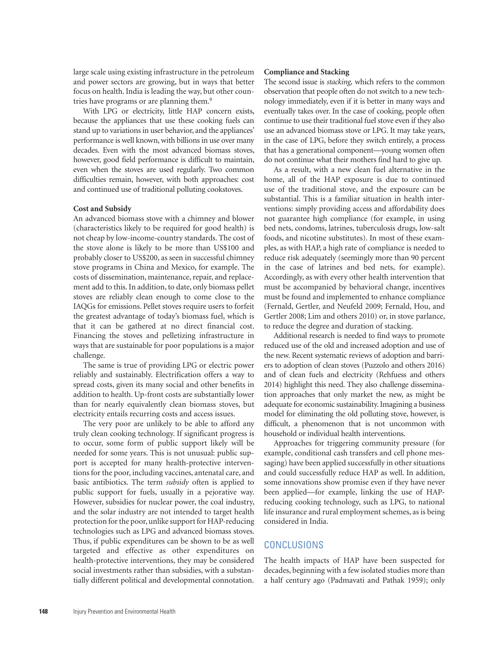large scale using existing infrastructure in the petroleum and power sectors are growing, but in ways that better focus on health. India is leading the way, but other countries have programs or are planning them.<sup>9</sup>

With LPG or electricity, little HAP concern exists, because the appliances that use these cooking fuels can stand up to variations in user behavior, and the appliances' performance is well known, with billions in use over many decades. Even with the most advanced biomass stoves, however, good field performance is difficult to maintain, even when the stoves are used regularly. Two common difficulties remain, however, with both approaches: cost and continued use of traditional polluting cookstoves.

### **Cost and Subsidy**

An advanced biomass stove with a chimney and blower (characteristics likely to be required for good health) is not cheap by low-income-country standards. The cost of the stove alone is likely to be more than US\$100 and probably closer to US\$200, as seen in successful chimney stove programs in China and Mexico, for example. The costs of dissemination, maintenance, repair, and replacement add to this. In addition, to date, only biomass pellet stoves are reliably clean enough to come close to the IAQGs for emissions. Pellet stoves require users to forfeit the greatest advantage of today's biomass fuel, which is that it can be gathered at no direct financial cost. Financing the stoves and pelletizing infrastructure in ways that are sustainable for poor populations is a major challenge.

The same is true of providing LPG or electric power reliably and sustainably. Electrification offers a way to spread costs, given its many social and other benefits in addition to health. Up-front costs are substantially lower than for nearly equivalently clean biomass stoves, but electricity entails recurring costs and access issues.

The very poor are unlikely to be able to afford any truly clean cooking technology. If significant progress is to occur, some form of public support likely will be needed for some years. This is not unusual: public support is accepted for many health-protective interventions for the poor, including vaccines, antenatal care, and basic antibiotics. The term *subsidy* often is applied to public support for fuels, usually in a pejorative way. However, subsidies for nuclear power, the coal industry, and the solar industry are not intended to target health protection for the poor, unlike support for HAP-reducing technologies such as LPG and advanced biomass stoves. Thus, if public expenditures can be shown to be as well targeted and effective as other expenditures on health-protective interventions, they may be considered social investments rather than subsidies, with a substantially different political and developmental connotation.

### **Compliance and Stacking**

The second issue is *stacking,* which refers to the common observation that people often do not switch to a new technology immediately, even if it is better in many ways and eventually takes over. In the case of cooking, people often continue to use their traditional fuel stove even if they also use an advanced biomass stove or LPG. It may take years, in the case of LPG, before they switch entirely, a process that has a generational component—young women often do not continue what their mothers find hard to give up.

As a result, with a new clean fuel alternative in the home, all of the HAP exposure is due to continued use of the traditional stove, and the exposure can be substantial. This is a familiar situation in health interventions: simply providing access and affordability does not guarantee high compliance (for example, in using bed nets, condoms, latrines, tuberculosis drugs, low-salt foods, and nicotine substitutes). In most of these examples, as with HAP, a high rate of compliance is needed to reduce risk adequately (seemingly more than 90 percent in the case of latrines and bed nets, for example). Accordingly, as with every other health intervention that must be accompanied by behavioral change, incentives must be found and implemented to enhance compliance (Fernald, Gertler, and Neufeld 2009; Fernald, Hou, and Gertler 2008; Lim and others 2010) or, in stove parlance, to reduce the degree and duration of stacking.

Additional research is needed to find ways to promote reduced use of the old and increased adoption and use of the new. Recent systematic reviews of adoption and barriers to adoption of clean stoves (Puzzolo and others 2016) and of clean fuels and electricity (Rehfuess and others 2014) highlight this need. They also challenge dissemination approaches that only market the new, as might be adequate for economic sustainability. Imagining a business model for eliminating the old polluting stove, however, is difficult, a phenomenon that is not uncommon with household or individual health interventions.

Approaches for triggering community pressure (for example, conditional cash transfers and cell phone messaging) have been applied successfully in other situations and could successfully reduce HAP as well. In addition, some innovations show promise even if they have never been applied—for example, linking the use of HAPreducing cooking technology, such as LPG, to national life insurance and rural employment schemes, as is being considered in India.

# **CONCLUSIONS**

The health impacts of HAP have been suspected for decades, beginning with a few isolated studies more than a half century ago (Padmavati and Pathak 1959); only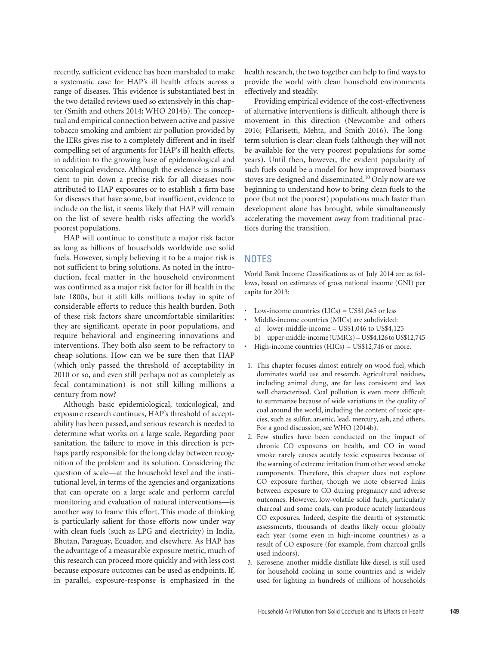recently, sufficient evidence has been marshaled to make a systematic case for HAP's ill health effects across a range of diseases. This evidence is substantiated best in the two detailed reviews used so extensively in this chapter (Smith and others 2014; WHO 2014b). The conceptual and empirical connection between active and passive tobacco smoking and ambient air pollution provided by the IERs gives rise to a completely different and in itself compelling set of arguments for HAP's ill health effects, in addition to the growing base of epidemiological and toxicological evidence. Although the evidence is insufficient to pin down a precise risk for all diseases now attributed to HAP exposures or to establish a firm base for diseases that have some, but insufficient, evidence to include on the list, it seems likely that HAP will remain on the list of severe health risks affecting the world's poorest populations.

HAP will continue to constitute a major risk factor as long as billions of households worldwide use solid fuels. However, simply believing it to be a major risk is not sufficient to bring solutions. As noted in the introduction, fecal matter in the household environment was confirmed as a major risk factor for ill health in the late 1800s, but it still kills millions today in spite of considerable efforts to reduce this health burden. Both of these risk factors share uncomfortable similarities: they are significant, operate in poor populations, and require behavioral and engineering innovations and interventions. They both also seem to be refractory to cheap solutions. How can we be sure then that HAP (which only passed the threshold of acceptability in 2010 or so, and even still perhaps not as completely as fecal contamination) is not still killing millions a century from now?

Although basic epidemiological, toxicological, and exposure research continues, HAP's threshold of acceptability has been passed, and serious research is needed to determine what works on a large scale. Regarding poor sanitation, the failure to move in this direction is perhaps partly responsible for the long delay between recognition of the problem and its solution. Considering the question of scale—at the household level and the institutional level, in terms of the agencies and organizations that can operate on a large scale and perform careful monitoring and evaluation of natural interventions—is another way to frame this effort. This mode of thinking is particularly salient for those efforts now under way with clean fuels (such as LPG and electricity) in India, Bhutan, Paraguay, Ecuador, and elsewhere. As HAP has the advantage of a measurable exposure metric, much of this research can proceed more quickly and with less cost because exposure outcomes can be used as endpoints. If, in parallel, exposure-response is emphasized in the health research, the two together can help to find ways to provide the world with clean household environments effectively and steadily.

Providing empirical evidence of the cost-effectiveness of alternative interventions is difficult, although there is movement in this direction (Newcombe and others 2016; Pillarisetti, Mehta, and Smith 2016). The longterm solution is clear: clean fuels (although they will not be available for the very poorest populations for some years). Until then, however, the evident popularity of such fuels could be a model for how improved biomass stoves are designed and disseminated.10 Only now are we beginning to understand how to bring clean fuels to the poor (but not the poorest) populations much faster than development alone has brought, while simultaneously accelerating the movement away from traditional practices during the transition.

# **NOTES**

World Bank Income Classifications as of July 2014 are as follows, based on estimates of gross national income (GNI) per capita for 2013:

- Low-income countries (LICs) = US\$1,045 or less
	- Middle-income countries (MICs) are subdivided:
	- a) lower-middle-income  $=$  US\$1,046 to US\$4,125
- b) upper-middle-income (UMICs) = US\$4,126 to US\$12,745
- High-income countries  $(HICs) = US$12,746$  or more.
- 1. This chapter focuses almost entirely on wood fuel, which dominates world use and research. Agricultural residues, including animal dung, are far less consistent and less well characterized. Coal pollution is even more difficult to summarize because of wide variations in the quality of coal around the world, including the content of toxic species, such as sulfur, arsenic, lead, mercury, ash, and others. For a good discussion, see WHO (2014b).
- 2. Few studies have been conducted on the impact of chronic CO exposures on health, and CO in wood smoke rarely causes acutely toxic exposures because of the warning of extreme irritation from other wood smoke components. Therefore, this chapter does not explore CO exposure further, though we note observed links between exposure to CO during pregnancy and adverse outcomes. However, low-volatile solid fuels, particularly charcoal and some coals, can produce acutely hazardous CO exposures. Indeed, despite the dearth of systematic assessments, thousands of deaths likely occur globally each year (some even in high-income countries) as a result of CO exposure (for example, from charcoal grills used indoors).
- 3. Kerosene, another middle distillate like diesel, is still used for household cooking in some countries and is widely used for lighting in hundreds of millions of households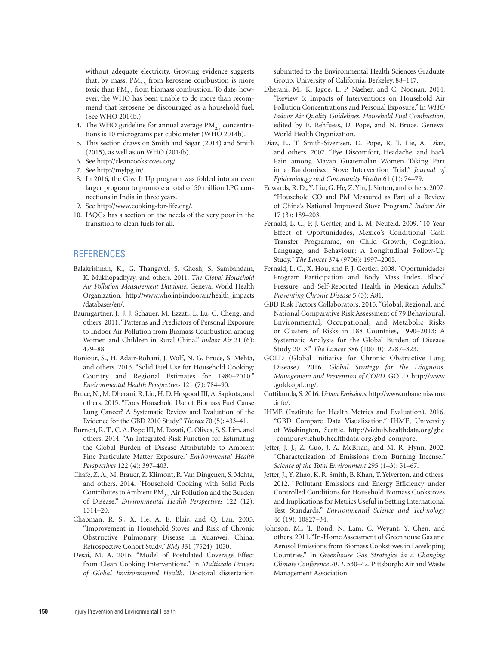without adequate electricity. Growing evidence suggests that, by mass,  $PM_{2.5}$  from kerosene combustion is more toxic than  $PM_{2.5}$  from biomass combustion. To date, however, the WHO has been unable to do more than recommend that kerosene be discouraged as a household fuel. (See WHO 2014b.)

- 4. The WHO guideline for annual average  $PM_{2.5}$  concentrations is 10 micrograms per cubic meter (WHO 2014b**)**.
- 5. This section draws on Smith and Sagar (2014) and Smith (2015), as well as on WHO (2014b).
- 6. See [http://cleancookstoves.org/.](http://cleancookstoves.org/)
- 7. See [http://mylpg.in/.](http://mylpg.in/)
- 8. In 2016, the Give It Up program was folded into an even larger program to promote a total of 50 million LPG connections in India in three years.
- 9. See [http://www.cooking-for-life.org/.](http://www.cooking-for-life.org/)
- 10. IAQGs has a section on the needs of the very poor in the transition to clean fuels for all.

# **REFERENCES**

- Balakrishnan, K., G. Thangavel, S. Ghosh, S. Sambandam, K. Mukhopadhyay, and others. 2011. *The Global Household Air Pollution Measurement Database*. Geneva: World Health Organization. [http://www.who.int/indoorair/health\\_impacts](http://www.who.int/indoorair/health_impacts/databases/en/)  [/databases/en/.](http://www.who.int/indoorair/health_impacts/databases/en/)
- Baumgartner, J., J. J. Schauer, M. Ezzati, L. Lu, C. Cheng, and others. 2011. "Patterns and Predictors of Personal Exposure to Indoor Air Pollution from Biomass Combustion among Women and Children in Rural China." *Indoor Air* 21 (6): 479–88.
- Bonjour, S., H. Adair-Rohani, J. Wolf, N. G. Bruce, S. Mehta, and others. 2013. "Solid Fuel Use for Household Cooking: Country and Regional Estimates for 1980–2010." *Environmental Health Perspectives* 121 (7): 784–90.
- Bruce, N., M. Dherani, R. Liu, H. D. Hosgood III, A. Sapkota, and others. 2015. "Does Household Use of Biomass Fuel Cause Lung Cancer? A Systematic Review and Evaluation of the Evidence for the GBD 2010 Study." *Thorax* 70 (5): 433–41.
- Burnett, R. T., C. A. Pope III, M. Ezzati, C. Olives, S. S. Lim, and others. 2014. "An Integrated Risk Function for Estimating the Global Burden of Disease Attributable to Ambient Fine Particulate Matter Exposure." *Environmental Health Perspectives* 122 (4): 397–403.
- Chafe, Z. A., M. Brauer, Z. Klimont, R. Van Dingenen, S. Mehta, and others. 2014. "Household Cooking with Solid Fuels Contributes to Ambient  $PM_{2.5}$  Air Pollution and the Burden of Disease." *Environmental Health Perspectives* 122 (12): 1314–20.
- Chapman, R. S., X. He, A. E. Blair, and Q. Lan. 2005. "Improvement in Household Stoves and Risk of Chronic Obstructive Pulmonary Disease in Xuanwei, China: Retrospective Cohort Study." *BMJ* 331 (7524): 1050.
- Desai, M. A. 2016. "Model of Postulated Coverage Effect from Clean Cooking Interventions." In *Multiscale Drivers of Global Environmental Health.* Doctoral dissertation

submitted to the Environmental Health Sciences Graduate Group, University of California, Berkeley, 88–147.

- Dherani, M., K. Jagoe, L. P. Naeher, and C. Noonan. 2014. "Review 6: Impacts of Interventions on Household Air Pollution Concentrations and Personal Exposure." In *WHO Indoor Air Quality Guidelines: Household Fuel Combustion*, edited by E. Rehfuess, D. Pope, and N. Bruce. Geneva: World Health Organization.
- Diaz, E., T. Smith-Sivertsen, D. Pope, R. T. Lie, A. Diaz, and others. 2007. "Eye Discomfort, Headache, and Back Pain among Mayan Guatemalan Women Taking Part in a Randomised Stove Intervention Trial." *Journal of Epidemiology and Community Health* 61 (1): 74–79.
- Edwards, R. D., Y. Liu, G. He, Z. Yin, J. Sinton, and others. 2007. "Household CO and PM Measured as Part of a Review of China's National Improved Stove Program." *Indoor Air* 17 (3): 189–203.
- Fernald, L. C., P. J. Gertler, and L. M. Neufeld. 2009. " 10-Year Effect of Oportunidades, Mexico's Conditional Cash Transfer Programme, on Child Growth, Cognition, Language, and Behaviour: A Longitudinal Follow-Up Study." *The Lancet* 374 (9706): 1997–2005.
- Fernald, L. C., X. Hou, and P. J. Gertler. 2008. "Oportunidades Program Participation and Body Mass Index, Blood Pressure, and Self-Reported Health in Mexican Adults." *Preventing Chronic Disease* 5 (3): A81.
- GBD Risk Factors Collaborators. 2015. "Global, Regional, and National Comparative Risk Assessment of 79 Behavioural, Environmental, Occupational, and Metabolic Risks or Clusters of Risks in 188 Countries, 1990–2013: A Systematic Analysis for the Global Burden of Disease Study 2013." *The Lancet* 386 (10010): 2287–323.
- GOLD (Global Initiative for Chronic Obstructive Lung Disease). 2016. *Global Strategy for the Diagnosis, Management and Prevention of COPD*. GOLD. [http://www](http://www.goldcopd.org/)  [.goldcopd.org/.](http://www.goldcopd.org/)
- Guttikunda, S. 2016. *Urban Emissions*[. http://www . urbanemissions](http://www.urbanemissions.info/)  [.info/.](http://www.urbanemissions.info/)
- IHME (Institute for Health Metrics and Evaluation). 2016. "GBD Compare Data Visualization." IHME, University of Washington, Seattle. [http://vizhub.healthdata .org/gbd](http://vizhub.healthdata.org/gbd-comparevizhub.healthdata.org/gbd-compare) [-comparevizhub.healthdata.org/gbd-compare.](http://vizhub.healthdata.org/gbd-comparevizhub.healthdata.org/gbd-compare)
- Jetter, J. J., Z. Guo, J. A. McBrian, and M. R. Flynn. 2002. "Characterization of Emissions from Burning Incense." *Science of the Total Environment* 295 (1–3): 51–67.
- Jetter, J., Y. Zhao, K. R. Smith, B. Khan, T. Yelverton, and others. 2012. "Pollutant Emissions and Energy Efficiency under Controlled Conditions for Household Biomass Cookstoves and Implications for Metrics Useful in Setting International Test Standards." *Environmental Science and Technology* 46 (19): 10827–34.
- Johnson, M., T. Bond, N. Lam, C. Weyant, Y. Chen, and others. 2011. "In-Home Assessment of Greenhouse Gas and Aerosol Emissions from Biomass Cookstoves in Developing Countries." In *Greenhouse Gas Strategies in a Changing Climate Conference 2011*, 530–42. Pittsburgh: Air and Waste Management Association.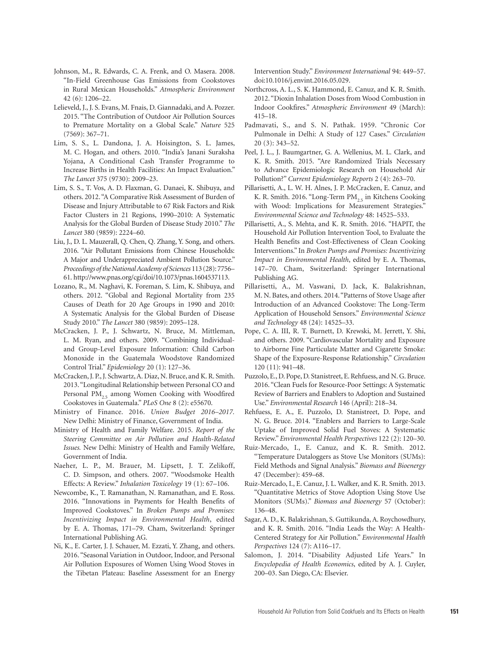- Johnson, M., R. Edwards, C. A. Frenk, and O. Masera. 2008. "In-Field Greenhouse Gas Emissions from Cookstoves in Rural Mexican Households." *Atmospheric Environment* 42 (6): 1206–22.
- Lelieveld, J., J. S. Evans, M. Fnais, D. Giannadaki, and A. Pozzer. 2015. "The Contribution of Outdoor Air Pollution Sources to Premature Mortality on a Global Scale." *Nature* 525 (7569): 367–71.
- Lim, S. S., L. Dandona, J. A. Hoisington, S. L. James, M. C. Hogan, and others. 2010. "India's Janani Suraksha Yojana, A Conditional Cash Transfer Programme to Increase Births in Health Facilities: An Impact Evaluation." *The Lancet* 375 (9730): 2009–23.
- Lim, S. S., T. Vos, A. D. Flaxman, G. Danaei, K. Shibuya, and others. 2012. "A Comparative Risk Assessment of Burden of Disease and Injury Attributable to 67 Risk Factors and Risk Factor Clusters in 21 Regions, 1990–2010: A Systematic Analysis for the Global Burden of Disease Study 2010." *The Lancet* 380 (9859): 2224–60.
- Liu, J., D. L. Mauzerall, Q. Chen, Q. Zhang, Y. Song, and others. 2016. "Air Pollutant Emissions from Chinese Households: A Major and Underappreciated Ambient Pollution Source." *Proceedings of the National Academy of Sciences* 113 (28): 7756– 61. [http://www.pnas.org/cgi/doi/10.1073/pnas.1604537113.](http://www.pnas.org/cgi/doi/10.1073/pnas.1604537113)
- Lozano, R., M. Naghavi, K. Foreman, S. Lim, K. Shibuya, and others. 2012. "Global and Regional Mortality from 235 Causes of Death for 20 Age Groups in 1990 and 2010: A Systematic Analysis for the Global Burden of Disease Study 2010." *The Lancet* 380 (9859): 2095–128.
- McCracken, J. P., J. Schwartz, N. Bruce, M. Mittleman, L. M. Ryan, and others. 2009. "Combining Individualand Group-Level Exposure Information: Child Carbon Monoxide in the Guatemala Woodstove Randomized Control Trial." *Epidemiology* 20 (1): 127–36.
- McCracken, J. P., J. Schwartz, A. Diaz, N. Bruce, and K. R. Smith. 2013. "Longitudinal Relationship between Personal CO and Personal PM<sub>2.5</sub> among Women Cooking with Woodfired Cookstoves in Guatemala." *PLoS One* 8 (2): e55670.
- Ministry of Finance. 2016. *Union Budget 2016–2017.* New Delhi: Ministry of Finance, Government of India.
- Ministry of Health and Family Welfare. 2015. *Report of the Steering Committee on Air Pollution and Health-Related Issues.* New Delhi: Ministry of Health and Family Welfare, Government of India.
- Naeher, L. P., M. Brauer, M. Lipsett, J. T. Zelikoff, C. D. Simpson, and others. 2007. "Woodsmoke Health Effects: A Review." *Inhalation Toxicology* 19 (1): 67–106.
- Newcombe, K., T. Ramanathan, N. Ramanathan, and E. Ross. 2016. "Innovations in Payments for Health Benefits of Improved Cookstoves." In *Broken Pumps and Promises: Incentivizing Impact in Environmental Health*, edited by E. A. Thomas, 171–79. Cham, Switzerland: Springer International Publishing AG.
- Ni, K., E. Carter, J. J. Schauer, M. Ezzati, Y. Zhang, and others. 2016. "Seasonal Variation in Outdoor, Indoor, and Personal Air Pollution Exposures of Women Using Wood Stoves in the Tibetan Plateau: Baseline Assessment for an Energy

Intervention Study." *Environment International* 94: 449–57. doi:10.1016/j.envint.2016.05.029.

- Northcross, A. L., S. K. Hammond, E. Canuz, and K. R. Smith. 2012. "Dioxin Inhalation Doses from Wood Combustion in Indoor Cookfires." *Atmospheric Environment* 49 (March): 415–18.
- Padmavati, S., and S. N. Pathak. 1959. "Chronic Cor Pulmonale in Delhi: A Study of 127 Cases." *Circulation* 20 (3): 343–52.
- Peel, J. L., J. Baumgartner, G. A. Wellenius, M. L. Clark, and K. R. Smith. 2015. "Are Randomized Trials Necessary to Advance Epidemiologic Research on Household Air Pollution?" *Current Epidemiology Reports* 2 (4): 263–70.
- Pillarisetti, A., L. W. H. Alnes, J. P. McCracken, E. Canuz, and K. R. Smith. 2016. "Long-Term  $PM_{2.5}$  in Kitchens Cooking with Wood: Implications for Measurement Strategies." *Environmental Science and Technology* 48: 14525–533.
- Pillarisetti, A., S. Mehta, and K. R. Smith. 2016. "HAPIT, the Household Air Pollution Intervention Tool, to Evaluate the Health Benefits and Cost-Effectiveness of Clean Cooking Interventions." In *Broken Pumps and Promises: Incentivizing Impact in Environmental Health*, edited by E. A. Thomas, 147–70. Cham, Switzerland: Springer International Publishing AG.
- Pillarisetti, A., M. Vaswani, D. Jack, K. Balakrishnan, M. N. Bates, and others. 2014. "Patterns of Stove Usage after Introduction of an Advanced Cookstove: The Long-Term Application of Household Sensors." *Environmental Science and Technology* 48 (24): 14525–33.
- Pope, C. A. III, R. T. Burnett, D. Krewski, M. Jerrett, Y. Shi, and others. 2009. "Cardiovascular Mortality and Exposure to Airborne Fine Particulate Matter and Cigarette Smoke: Shape of the Exposure-Response Relationship." *Circulation* 120 (11): 941–48.
- Puzzolo, E., D. Pope, D. Stanistreet, E. Rehfuess, and N. G. Bruce. 2016. "Clean Fuels for Resource-Poor Settings: A Systematic Review of Barriers and Enablers to Adoption and Sustained Use." *Environmental Research* 146 (April): 218–34.
- Rehfuess, E. A., E. Puzzolo, D. Stanistreet, D. Pope, and N. G. Bruce. 2014. "Enablers and Barriers to Large-Scale Uptake of Improved Solid Fuel Stoves: A Systematic Review." *Environmental Health Perspectives* 122 (2): 120–30.
- Ruiz-Mercado, I., E. Canuz, and K. R. Smith. 2012. "Temperature Dataloggers as Stove Use Monitors (SUMs): Field Methods and Signal Analysis." *Biomass and Bioenergy* 47 (December): 459–68.
- Ruiz-Mercado, I., E. Canuz, J. L. Walker, and K. R. Smith. 2013. "Quantitative Metrics of Stove Adoption Using Stove Use Monitors (SUMs)." *Biomass and Bioenergy* 57 (October): 136–48.
- Sagar, A. D., K. Balakrishnan, S. Guttikunda, A. Roychowdhury, and K. R. Smith. 2016. "India Leads the Way: A Health-Centered Strategy for Air Pollution." *Environmental Health Perspectives* 124 (7): A116–17.
- Salomon, J. 2014. "Disability Adjusted Life Years." In *Encyclopedia of Health Economics*, edited by A. J. Cuyler, 200–03. San Diego, CA: Elsevier.